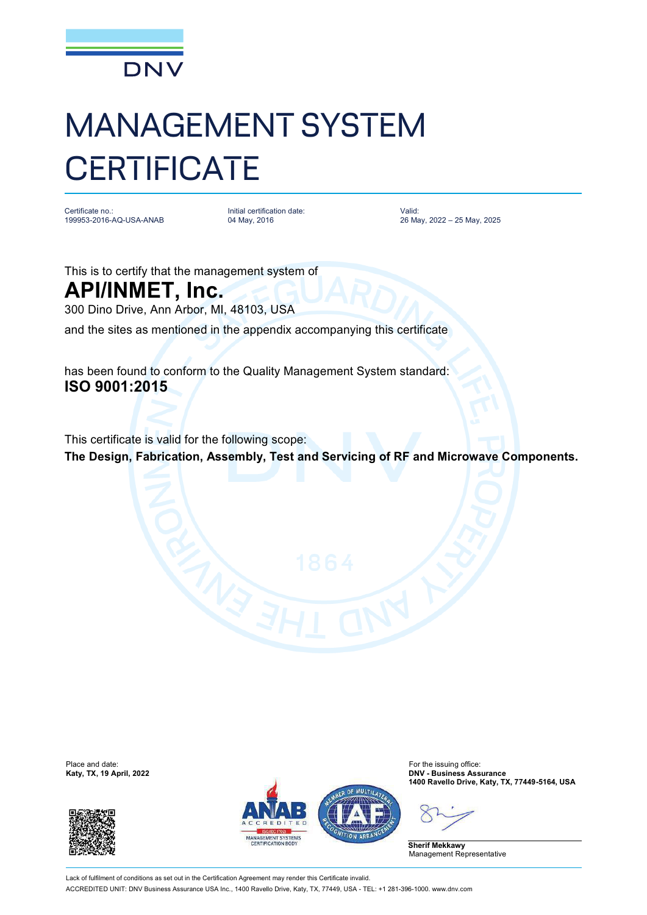

## MANAGEMENT SYSTEM **CERTIFICATE**

Certificate no.: 199953-2016-AQ-USA-ANAB Initial certification date: 04 May, 2016

Valid: 26 May, 2022 – 25 May, 2025

This is to certify that the management system of

**API/INMET, Inc.** 300 Dino Drive, Ann Arbor, MI, 48103, USA

and the sites as mentioned in the appendix accompanying this certificate

has been found to conform to the Quality Management System standard: **ISO 9001:2015**

This certificate is valid for the following scope: **The Design, Fabrication, Assembly, Test and Servicing of RF and Microwave Components.**

Place and date:<br>Katy, TX, 19 April, 2022





For the issuing office:<br>**DNV - Business Assurance 1400 Ravello Drive, Katy, TX, 77449-5164, USA**

**Sherif Mekkawy** Management Representative

Lack of fulfilment of conditions as set out in the Certification Agreement may render this Certificate invalid. ACCREDITED UNIT: DNV Business Assurance USA Inc., 1400 Ravello Drive, Katy, TX, 77449, USA - TEL: +1 281-396-1000. [www.dnv.com](http://www.dnv.com)